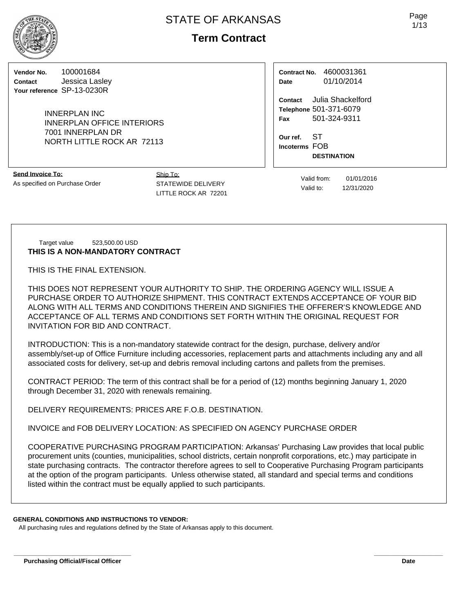# **Term Contract**

**Vendor No.** 100001684 **Contact** Jessica Lasley **Your reference** SP-13-0230R

> INNERPLAN INC INNERPLAN OFFICE INTERIORS 7001 INNERPLAN DR NORTH LITTLE ROCK AR 72113

**Send Invoice To:** As specified on Purchase Order Ship To: STATEWIDE DELIVERY LITTLE ROCK AR 72201

**Contract No.** 4600031361 **Date** 01/10/2014

**Contact** Julia Shackelford **Telephone** 501-371-6079 **Fax** 501-324-9311

**Our ref.** ST **Incoterms** FOB **DESTINATION**

> Valid from: 01/01/2016 Valid to: 12/31/2020

Target value 523,500.00 USD **THIS IS A NON-MANDATORY CONTRACT**

THIS IS THE FINAL EXTENSION.

THIS DOES NOT REPRESENT YOUR AUTHORITY TO SHIP. THE ORDERING AGENCY WILL ISSUE A PURCHASE ORDER TO AUTHORIZE SHIPMENT. THIS CONTRACT EXTENDS ACCEPTANCE OF YOUR BID ALONG WITH ALL TERMS AND CONDITIONS THEREIN AND SIGNIFIES THE OFFERER'S KNOWLEDGE AND ACCEPTANCE OF ALL TERMS AND CONDITIONS SET FORTH WITHIN THE ORIGINAL REQUEST FOR INVITATION FOR BID AND CONTRACT.

INTRODUCTION: This is a non-mandatory statewide contract for the design, purchase, delivery and/or assembly/set-up of Office Furniture including accessories, replacement parts and attachments including any and all associated costs for delivery, set-up and debris removal including cartons and pallets from the premises.

CONTRACT PERIOD: The term of this contract shall be for a period of (12) months beginning January 1, 2020 through December 31, 2020 with renewals remaining.

DELIVERY REQUIREMENTS: PRICES ARE F.O.B. DESTINATION.

INVOICE and FOB DELIVERY LOCATION: AS SPECIFIED ON AGENCY PURCHASE ORDER

COOPERATIVE PURCHASING PROGRAM PARTICIPATION: Arkansas' Purchasing Law provides that local public procurement units (counties, municipalities, school districts, certain nonprofit corporations, etc.) may participate in state purchasing contracts. The contractor therefore agrees to sell to Cooperative Purchasing Program participants at the option of the program participants. Unless otherwise stated, all standard and special terms and conditions listed within the contract must be equally applied to such participants.

#### **GENERAL CONDITIONS AND INSTRUCTIONS TO VENDOR:**

All purchasing rules and regulations defined by the State of Arkansas apply to this document.

**\_\_\_\_\_\_\_\_\_\_\_\_\_\_\_\_\_\_\_\_\_\_\_\_\_\_\_\_\_\_\_\_\_\_ \_\_\_\_\_\_\_\_\_\_\_\_\_\_\_\_\_\_\_\_**

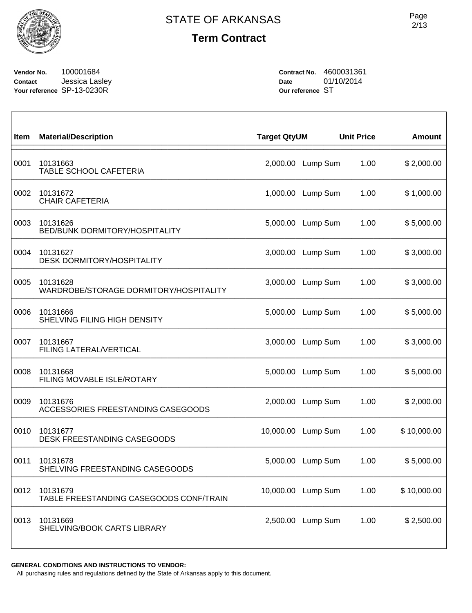

**Vendor No.** 100001684 **Contact** Jessica Lasley **Your reference** SP-13-0230R

**Contract No.** 4600031361 **Date** 01/10/2014 **Our reference** ST

| Item | <b>Material/Description</b>                         | <b>Target QtyUM</b> |          | <b>Unit Price</b> | <b>Amount</b> |
|------|-----------------------------------------------------|---------------------|----------|-------------------|---------------|
| 0001 | 10131663<br>TABLE SCHOOL CAFETERIA                  | 2,000.00            | Lump Sum | 1.00              | \$2,000.00    |
| 0002 | 10131672<br><b>CHAIR CAFETERIA</b>                  | 1,000.00            | Lump Sum | 1.00              | \$1,000.00    |
| 0003 | 10131626<br>BED/BUNK DORMITORY/HOSPITALITY          | 5,000.00            | Lump Sum | 1.00              | \$5,000.00    |
| 0004 | 10131627<br><b>DESK DORMITORY/HOSPITALITY</b>       | 3,000.00            | Lump Sum | 1.00              | \$3,000.00    |
| 0005 | 10131628<br>WARDROBE/STORAGE DORMITORY/HOSPITALITY  | 3,000.00            | Lump Sum | 1.00              | \$3,000.00    |
| 0006 | 10131666<br>SHELVING FILING HIGH DENSITY            | 5,000.00            | Lump Sum | 1.00              | \$5,000.00    |
| 0007 | 10131667<br>FILING LATERAL/VERTICAL                 | 3,000.00            | Lump Sum | 1.00              | \$3,000.00    |
| 0008 | 10131668<br>FILING MOVABLE ISLE/ROTARY              | 5,000.00            | Lump Sum | 1.00              | \$5,000.00    |
| 0009 | 10131676<br>ACCESSORIES FREESTANDING CASEGOODS      | 2,000.00            | Lump Sum | 1.00              | \$2,000.00    |
| 0010 | 10131677<br>DESK FREESTANDING CASEGOODS             | 10,000.00           | Lump Sum | 1.00              | \$10,000.00   |
| 0011 | 10131678<br>SHELVING FREESTANDING CASEGOODS         | 5,000.00            | Lump Sum | 1.00              | \$5,000.00    |
| 0012 | 10131679<br>TABLE FREESTANDING CASEGOODS CONF/TRAIN | 10,000.00           | Lump Sum | 1.00              | \$10,000.00   |
| 0013 | 10131669<br>SHELVING/BOOK CARTS LIBRARY             | 2,500.00            | Lump Sum | 1.00              | \$2,500.00    |

#### **GENERAL CONDITIONS AND INSTRUCTIONS TO VENDOR:**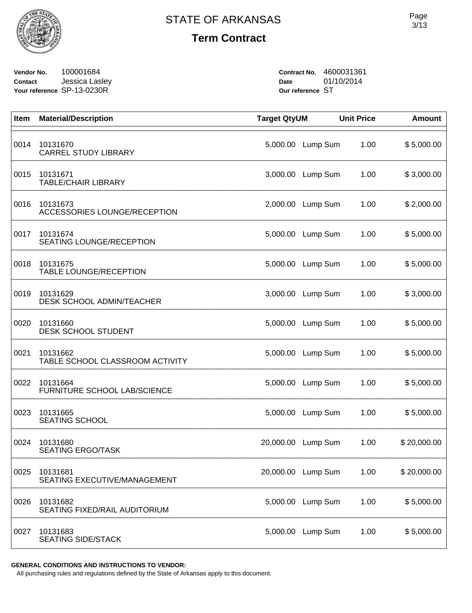

**Vendor No.** 100001684 **Contact** Jessica Lasley **Your reference** SP-13-0230R

**Contract No.** 4600031361 **Date** 01/10/2014 **Our reference** ST

| Item | <b>Material/Description</b>                  | <b>Target QtyUM</b> |          | <b>Unit Price</b> | <b>Amount</b> |
|------|----------------------------------------------|---------------------|----------|-------------------|---------------|
| 0014 | 10131670<br><b>CARREL STUDY LIBRARY</b>      | 5,000.00            | Lump Sum | 1.00              | \$5,000.00    |
| 0015 | 10131671<br><b>TABLE/CHAIR LIBRARY</b>       | 3,000.00            | Lump Sum | 1.00              | \$3,000.00    |
| 0016 | 10131673<br>ACCESSORIES LOUNGE/RECEPTION     | 2,000.00            | Lump Sum | 1.00              | \$2,000.00    |
| 0017 | 10131674<br><b>SEATING LOUNGE/RECEPTION</b>  | 5,000.00            | Lump Sum | 1.00              | \$5,000.00    |
| 0018 | 10131675<br><b>TABLE LOUNGE/RECEPTION</b>    | 5,000.00            | Lump Sum | 1.00              | \$5,000.00    |
| 0019 | 10131629<br><b>DESK SCHOOL ADMIN/TEACHER</b> | 3,000.00            | Lump Sum | 1.00              | \$3,000.00    |
| 0020 | 10131660<br>DESK SCHOOL STUDENT              | 5,000.00            | Lump Sum | 1.00              | \$5,000.00    |
| 0021 | 10131662<br>TABLE SCHOOL CLASSROOM ACTIVITY  | 5,000.00            | Lump Sum | 1.00              | \$5,000.00    |
| 0022 | 10131664<br>FURNITURE SCHOOL LAB/SCIENCE     | 5,000.00            | Lump Sum | 1.00              | \$5,000.00    |
| 0023 | 10131665<br><b>SEATING SCHOOL</b>            | 5,000.00            | Lump Sum | 1.00              | \$5,000.00    |
| 0024 | 10131680<br><b>SEATING ERGO/TASK</b>         | 20,000.00           | Lump Sum | 1.00              | \$20,000.00   |
| 0025 | 10131681<br>SEATING EXECUTIVE/MANAGEMENT     | 20,000.00           | Lump Sum | 1.00              | \$20,000.00   |
| 0026 | 10131682<br>SEATING FIXED/RAIL AUDITORIUM    | 5,000.00            | Lump Sum | 1.00              | \$5,000.00    |
| 0027 | 10131683<br><b>SEATING SIDE/STACK</b>        | 5,000.00            | Lump Sum | 1.00              | \$5,000.00    |

**GENERAL CONDITIONS AND INSTRUCTIONS TO VENDOR:**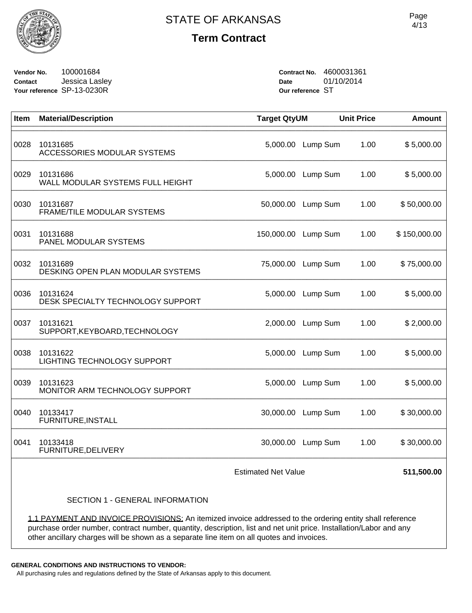

**Vendor No.** 100001684 **Contact** Jessica Lasley **Your reference** SP-13-0230R

**Contract No.** 4600031361 **Date** 01/10/2014 **Our reference** ST

| Item | <b>Material/Description</b>                   | <b>Target QtyUM</b>        |          | <b>Unit Price</b> | <b>Amount</b> |
|------|-----------------------------------------------|----------------------------|----------|-------------------|---------------|
| 0028 | 10131685<br>ACCESSORIES MODULAR SYSTEMS       | 5,000.00                   | Lump Sum | 1.00              | \$5,000.00    |
| 0029 | 10131686<br>WALL MODULAR SYSTEMS FULL HEIGHT  | 5,000.00                   | Lump Sum | 1.00              | \$5,000.00    |
| 0030 | 10131687<br>FRAME/TILE MODULAR SYSTEMS        | 50,000.00                  | Lump Sum | 1.00              | \$50,000.00   |
| 0031 | 10131688<br>PANEL MODULAR SYSTEMS             | 150,000.00                 | Lump Sum | 1.00              | \$150,000.00  |
| 0032 | 10131689<br>DESKING OPEN PLAN MODULAR SYSTEMS | 75,000.00                  | Lump Sum | 1.00              | \$75,000.00   |
| 0036 | 10131624<br>DESK SPECIALTY TECHNOLOGY SUPPORT | 5,000.00                   | Lump Sum | 1.00              | \$5,000.00    |
| 0037 | 10131621<br>SUPPORT, KEYBOARD, TECHNOLOGY     | 2,000.00                   | Lump Sum | 1.00              | \$2,000.00    |
| 0038 | 10131622<br>LIGHTING TECHNOLOGY SUPPORT       | 5,000.00                   | Lump Sum | 1.00              | \$5,000.00    |
| 0039 | 10131623<br>MONITOR ARM TECHNOLOGY SUPPORT    | 5,000.00                   | Lump Sum | 1.00              | \$5,000.00    |
| 0040 | 10133417<br>FURNITURE, INSTALL                | 30,000.00                  | Lump Sum | 1.00              | \$30,000.00   |
| 0041 | 10133418<br>FURNITURE, DELIVERY               | 30,000.00                  | Lump Sum | 1.00              | \$30,000.00   |
|      |                                               | <b>Estimated Net Value</b> |          |                   | 511,500.00    |
|      | <b>SECTION 1 - GENERAL INFORMATION</b>        |                            |          |                   |               |

1.1 PAYMENT AND INVOICE PROVISIONS: An itemized invoice addressed to the ordering entity shall reference purchase order number, contract number, quantity, description, list and net unit price. Installation/Labor and any other ancillary charges will be shown as a separate line item on all quotes and invoices.

**GENERAL CONDITIONS AND INSTRUCTIONS TO VENDOR:**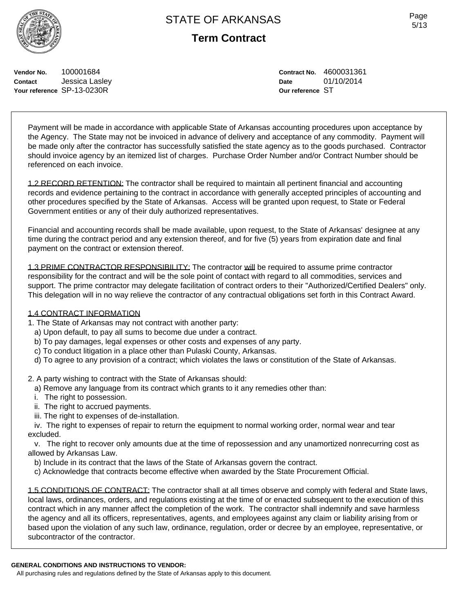Page 5/13

**Vendor No.** 100001684 **Contact** Jessica Lasley **Your reference** SP-13-0230R

**Contract No.** 4600031361 **Date** 01/10/2014 **Our reference** ST

Payment will be made in accordance with applicable State of Arkansas accounting procedures upon acceptance by the Agency. The State may not be invoiced in advance of delivery and acceptance of any commodity. Payment will be made only after the contractor has successfully satisfied the state agency as to the goods purchased. Contractor should invoice agency by an itemized list of charges. Purchase Order Number and/or Contract Number should be referenced on each invoice.

1.2 RECORD RETENTION: The contractor shall be required to maintain all pertinent financial and accounting records and evidence pertaining to the contract in accordance with generally accepted principles of accounting and other procedures specified by the State of Arkansas. Access will be granted upon request, to State or Federal Government entities or any of their duly authorized representatives.

Financial and accounting records shall be made available, upon request, to the State of Arkansas' designee at any time during the contract period and any extension thereof, and for five (5) years from expiration date and final payment on the contract or extension thereof.

1.3 PRIME CONTRACTOR RESPONSIBILITY: The contractor will be required to assume prime contractor responsibility for the contract and will be the sole point of contact with regard to all commodities, services and support. The prime contractor may delegate facilitation of contract orders to their "Authorized/Certified Dealers" only. This delegation will in no way relieve the contractor of any contractual obligations set forth in this Contract Award.

#### 1.4 CONTRACT INFORMATION

- 1. The State of Arkansas may not contract with another party:
	- a) Upon default, to pay all sums to become due under a contract.
	- b) To pay damages, legal expenses or other costs and expenses of any party.
	- c) To conduct litigation in a place other than Pulaski County, Arkansas.
- d) To agree to any provision of a contract; which violates the laws or constitution of the State of Arkansas.

2. A party wishing to contract with the State of Arkansas should:

- a) Remove any language from its contract which grants to it any remedies other than:
- i. The right to possession.
- ii. The right to accrued payments.
- iii. The right to expenses of de-installation.
- iv. The right to expenses of repair to return the equipment to normal working order, normal wear and tear excluded.

 v. The right to recover only amounts due at the time of repossession and any unamortized nonrecurring cost as allowed by Arkansas Law.

- b) Include in its contract that the laws of the State of Arkansas govern the contract.
- c) Acknowledge that contracts become effective when awarded by the State Procurement Official.

1.5 CONDITIONS OF CONTRACT: The contractor shall at all times observe and comply with federal and State laws, local laws, ordinances, orders, and regulations existing at the time of or enacted subsequent to the execution of this contract which in any manner affect the completion of the work. The contractor shall indemnify and save harmless the agency and all its officers, representatives, agents, and employees against any claim or liability arising from or based upon the violation of any such law, ordinance, regulation, order or decree by an employee, representative, or subcontractor of the contractor.

#### **GENERAL CONDITIONS AND INSTRUCTIONS TO VENDOR:**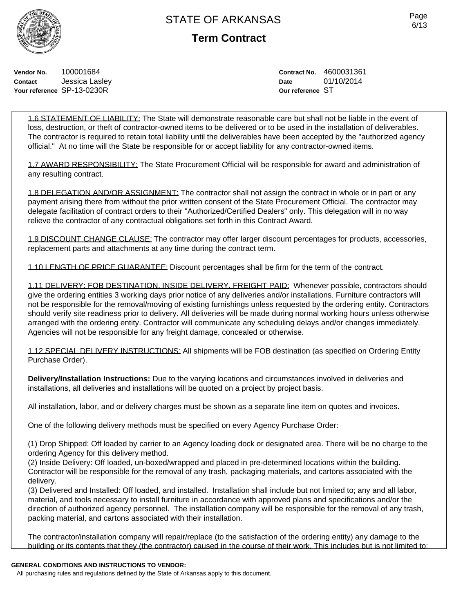Page 6/13

**Vendor No.** 100001684 **Contact** Jessica Lasley **Your reference** SP-13-0230R

**Contract No.** 4600031361 **Date** 01/10/2014 **Our reference** ST

1.6 STATEMENT OF LIABILITY: The State will demonstrate reasonable care but shall not be liable in the event of loss, destruction, or theft of contractor-owned items to be delivered or to be used in the installation of deliverables. The contractor is required to retain total liability until the deliverables have been accepted by the "authorized agency official." At no time will the State be responsible for or accept liability for any contractor-owned items.

1.7 AWARD RESPONSIBILITY: The State Procurement Official will be responsible for award and administration of any resulting contract.

1.8 DELEGATION AND/OR ASSIGNMENT: The contractor shall not assign the contract in whole or in part or any payment arising there from without the prior written consent of the State Procurement Official. The contractor may delegate facilitation of contract orders to their "Authorized/Certified Dealers" only. This delegation will in no way relieve the contractor of any contractual obligations set forth in this Contract Award.

1.9 DISCOUNT CHANGE CLAUSE: The contractor may offer larger discount percentages for products, accessories, replacement parts and attachments at any time during the contract term.

1.10 LENGTH OF PRICE GUARANTEE: Discount percentages shall be firm for the term of the contract.

1.11 DELIVERY: FOB DESTINATION, INSIDE DELIVERY, FREIGHT PAID: Whenever possible, contractors should give the ordering entities 3 working days prior notice of any deliveries and/or installations. Furniture contractors will not be responsible for the removal/moving of existing furnishings unless requested by the ordering entity. Contractors should verify site readiness prior to delivery. All deliveries will be made during normal working hours unless otherwise arranged with the ordering entity. Contractor will communicate any scheduling delays and/or changes immediately. Agencies will not be responsible for any freight damage, concealed or otherwise.

1.12 SPECIAL DELIVERY INSTRUCTIONS: All shipments will be FOB destination (as specified on Ordering Entity Purchase Order).

**Delivery/Installation Instructions:** Due to the varying locations and circumstances involved in deliveries and installations, all deliveries and installations will be quoted on a project by project basis.

All installation, labor, and or delivery charges must be shown as a separate line item on quotes and invoices.

One of the following delivery methods must be specified on every Agency Purchase Order:

(1) Drop Shipped: Off loaded by carrier to an Agency loading dock or designated area. There will be no charge to the ordering Agency for this delivery method.

(2) Inside Delivery: Off loaded, un-boxed/wrapped and placed in pre-determined locations within the building. Contractor will be responsible for the removal of any trash, packaging materials, and cartons associated with the delivery.

(3) Delivered and Installed: Off loaded, and installed. Installation shall include but not limited to; any and all labor, material, and tools necessary to install furniture in accordance with approved plans and specifications and/or the direction of authorized agency personnel. The installation company will be responsible for the removal of any trash, packing material, and cartons associated with their installation.

The contractor/installation company will repair/replace (to the satisfaction of the ordering entity) any damage to the building or its contents that they (the contractor) caused in the course of their work. This includes but is not limited to:

#### **GENERAL CONDITIONS AND INSTRUCTIONS TO VENDOR:**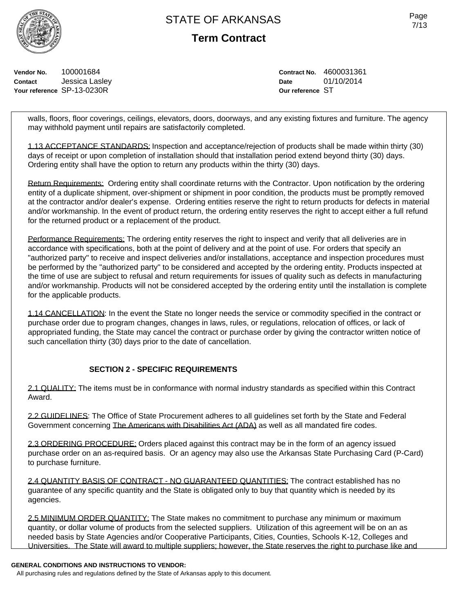**Term Contract**

**Vendor No.** 100001684 **Contact** Jessica Lasley **Your reference** SP-13-0230R

**Contract No.** 4600031361 **Date** 01/10/2014 **Our reference** ST

walls, floors, floor coverings, ceilings, elevators, doors, doorways, and any existing fixtures and furniture. The agency may withhold payment until repairs are satisfactorily completed.

1.13 ACCEPTANCE STANDARDS: Inspection and acceptance/rejection of products shall be made within thirty (30) days of receipt or upon completion of installation should that installation period extend beyond thirty (30) days. Ordering entity shall have the option to return any products within the thirty (30) days.

Return Requirements: Ordering entity shall coordinate returns with the Contractor. Upon notification by the ordering entity of a duplicate shipment, over-shipment or shipment in poor condition, the products must be promptly removed at the contractor and/or dealer's expense. Ordering entities reserve the right to return products for defects in material and/or workmanship. In the event of product return, the ordering entity reserves the right to accept either a full refund for the returned product or a replacement of the product.

Performance Requirements: The ordering entity reserves the right to inspect and verify that all deliveries are in accordance with specifications, both at the point of delivery and at the point of use. For orders that specify an "authorized party" to receive and inspect deliveries and/or installations, acceptance and inspection procedures must be performed by the "authorized party" to be considered and accepted by the ordering entity. Products inspected at the time of use are subject to refusal and return requirements for issues of quality such as defects in manufacturing and/or workmanship. Products will not be considered accepted by the ordering entity until the installation is complete for the applicable products.

1.14 CANCELLATION: In the event the State no longer needs the service or commodity specified in the contract or purchase order due to program changes, changes in laws, rules, or regulations, relocation of offices, or lack of appropriated funding, the State may cancel the contract or purchase order by giving the contractor written notice of such cancellation thirty (30) days prior to the date of cancellation.

### **SECTION 2 - SPECIFIC REQUIREMENTS**

2.1 QUALITY: The items must be in conformance with normal industry standards as specified within this Contract Award.

2.2 GUIDELINES: The Office of State Procurement adheres to all quidelines set forth by the State and Federal Government concerning The Americans with Disabilities Act (ADA) as well as all mandated fire codes.

2.3 ORDERING PROCEDURE: Orders placed against this contract may be in the form of an agency issued purchase order on an as-required basis. Or an agency may also use the Arkansas State Purchasing Card (P-Card) to purchase furniture.

2.4 QUANTITY BASIS OF CONTRACT - NO GUARANTEED QUANTITIES: The contract established has no guarantee of any specific quantity and the State is obligated only to buy that quantity which is needed by its agencies.

2.5 MINIMUM ORDER QUANTITY: The State makes no commitment to purchase any minimum or maximum quantity, or dollar volume of products from the selected suppliers. Utilization of this agreement will be on an as needed basis by State Agencies and/or Cooperative Participants, Cities, Counties, Schools K-12, Colleges and Universities. The State will award to multiple suppliers; however, the State reserves the right to purchase like and

#### **GENERAL CONDITIONS AND INSTRUCTIONS TO VENDOR:**

All purchasing rules and regulations defined by the State of Arkansas apply to this document.

Page 7/13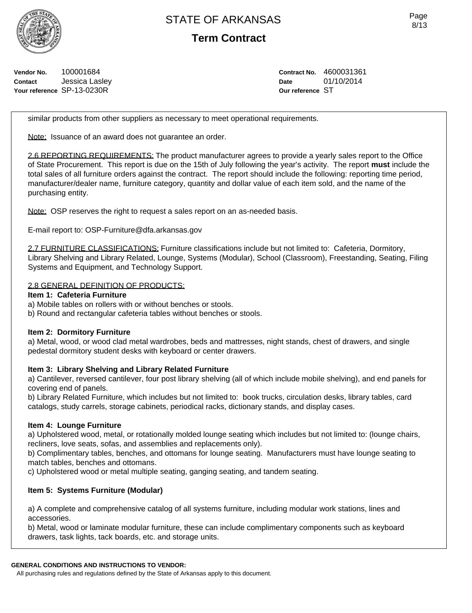**Term Contract**

**Vendor No.** 100001684 **Contact** Jessica Lasley **Your reference** SP-13-0230R

**Contract No.** 4600031361 **Date** 01/10/2014 **Our reference** ST

similar products from other suppliers as necessary to meet operational requirements.

Note: Issuance of an award does not quarantee an order.

2.6 REPORTING REQUIREMENTS: The product manufacturer agrees to provide a yearly sales report to the Office of State Procurement. This report is due on the 15th of July following the year's activity. The report **must** include the total sales of all furniture orders against the contract. The report should include the following: reporting time period, manufacturer/dealer name, furniture category, quantity and dollar value of each item sold, and the name of the purchasing entity.

Note: OSP reserves the right to request a sales report on an as-needed basis.

E-mail report to: OSP-Furniture@dfa.arkansas.gov

2.7 FURNITURE CLASSIFICATIONS: Furniture classifications include but not limited to: Cafeteria, Dormitory, Library Shelving and Library Related, Lounge, Systems (Modular), School (Classroom), Freestanding, Seating, Filing Systems and Equipment, and Technology Support.

### 2.8 GENERAL DEFINITION OF PRODUCTS:

#### **Item 1: Cafeteria Furniture**

a) Mobile tables on rollers with or without benches or stools.

b) Round and rectangular cafeteria tables without benches or stools.

#### **Item 2: Dormitory Furniture**

a) Metal, wood, or wood clad metal wardrobes, beds and mattresses, night stands, chest of drawers, and single pedestal dormitory student desks with keyboard or center drawers.

### **Item 3: Library Shelving and Library Related Furniture**

a) Cantilever, reversed cantilever, four post library shelving (all of which include mobile shelving), and end panels for covering end of panels.

b) Library Related Furniture, which includes but not limited to: book trucks, circulation desks, library tables, card catalogs, study carrels, storage cabinets, periodical racks, dictionary stands, and display cases.

### **Item 4: Lounge Furniture**

a) Upholstered wood, metal, or rotationally molded lounge seating which includes but not limited to: (lounge chairs, recliners, love seats, sofas, and assemblies and replacements only).

b) Complimentary tables, benches, and ottomans for lounge seating. Manufacturers must have lounge seating to match tables, benches and ottomans.

c) Upholstered wood or metal multiple seating, ganging seating, and tandem seating.

### **Item 5: Systems Furniture (Modular)**

a) A complete and comprehensive catalog of all systems furniture, including modular work stations, lines and accessories.

b) Metal, wood or laminate modular furniture, these can include complimentary components such as keyboard drawers, task lights, tack boards, etc. and storage units.

#### **GENERAL CONDITIONS AND INSTRUCTIONS TO VENDOR:**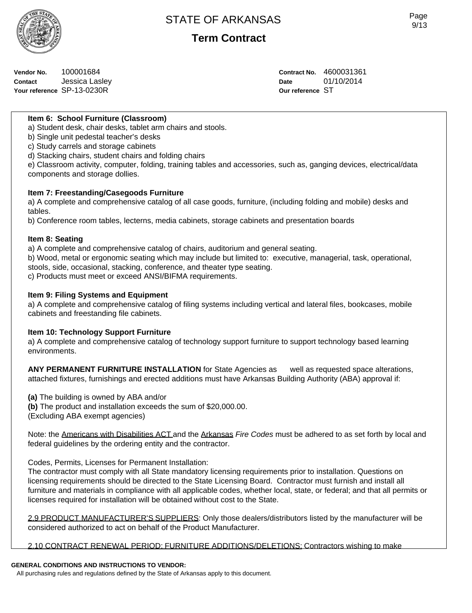

**Term Contract**

| Vendor No. | 100001684                  |
|------------|----------------------------|
| Contact    | Jessica Lasley             |
|            | Your reference SP-13-0230R |

**Contract No.** 4600031361 **Date** 01/10/2014 **Our reference** ST

### **Item 6: School Furniture (Classroom)**

a) Student desk, chair desks, tablet arm chairs and stools.

b) Single unit pedestal teacher's desks

c) Study carrels and storage cabinets

d) Stacking chairs, student chairs and folding chairs

e) Classroom activity, computer, folding, training tables and accessories, such as, ganging devices, electrical/data components and storage dollies.

#### **Item 7: Freestanding/Casegoods Furniture**

a) A complete and comprehensive catalog of all case goods, furniture, (including folding and mobile) desks and tables.

b) Conference room tables, lecterns, media cabinets, storage cabinets and presentation boards

#### **Item 8: Seating**

a) A complete and comprehensive catalog of chairs, auditorium and general seating.

b) Wood, metal or ergonomic seating which may include but limited to: executive, managerial, task, operational, stools, side, occasional, stacking, conference, and theater type seating. c) Products must meet or exceed ANSI/BIFMA requirements.

### **Item 9: Filing Systems and Equipment**

a) A complete and comprehensive catalog of filing systems including vertical and lateral files, bookcases, mobile cabinets and freestanding file cabinets.

#### **Item 10: Technology Support Furniture**

a) A complete and comprehensive catalog of technology support furniture to support technology based learning environments.

**ANY PERMANENT FURNITURE INSTALLATION** for State Agencies as well as requested space alterations, attached fixtures, furnishings and erected additions must have Arkansas Building Authority (ABA) approval if:

**(a)** The building is owned by ABA and/or

**(b)** The product and installation exceeds the sum of \$20,000.00.

(Excluding ABA exempt agencies)

Note: the Americans with Disabilities ACT and the Arkansas *Fire Codes* must be adhered to as set forth by local and federal guidelines by the ordering entity and the contractor.

Codes, Permits, Licenses for Permanent Installation:

The contractor must comply with all State mandatory licensing requirements prior to installation. Questions on licensing requirements should be directed to the State Licensing Board. Contractor must furnish and install all furniture and materials in compliance with all applicable codes, whether local, state, or federal; and that all permits or licenses required for installation will be obtained without cost to the State.

2.9 PRODUCT MANUFACTURER'S SUPPLIERS: Only those dealers/distributors listed by the manufacturer will be considered authorized to act on behalf of the Product Manufacturer.

2.10 CONTRACT RENEWAL PERIOD: FURNITURE ADDITIONS/DELETIONS: Contractors wishing to make

#### **GENERAL CONDITIONS AND INSTRUCTIONS TO VENDOR:**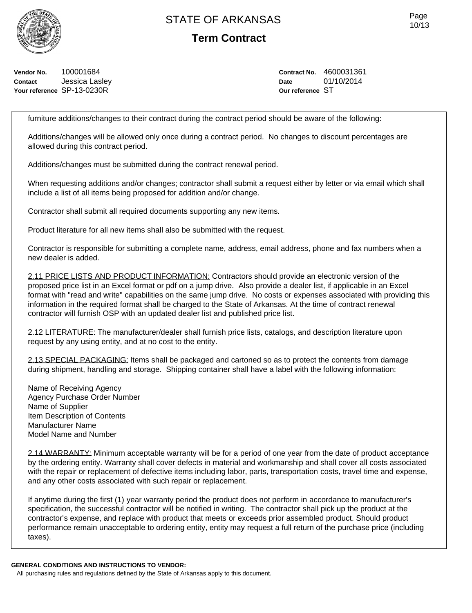**Term Contract**

**Vendor No.** 100001684 **Contact** Jessica Lasley **Your reference** SP-13-0230R

**Contract No.** 4600031361 **Date** 01/10/2014 **Our reference** ST

furniture additions/changes to their contract during the contract period should be aware of the following:

Additions/changes will be allowed only once during a contract period. No changes to discount percentages are allowed during this contract period.

Additions/changes must be submitted during the contract renewal period.

When requesting additions and/or changes; contractor shall submit a request either by letter or via email which shall include a list of all items being proposed for addition and/or change.

Contractor shall submit all required documents supporting any new items.

Product literature for all new items shall also be submitted with the request.

Contractor is responsible for submitting a complete name, address, email address, phone and fax numbers when a new dealer is added.

2.11 PRICE LISTS AND PRODUCT INFORMATION: Contractors should provide an electronic version of the proposed price list in an Excel format or pdf on a jump drive. Also provide a dealer list, if applicable in an Excel format with "read and write" capabilities on the same jump drive. No costs or expenses associated with providing this information in the required format shall be charged to the State of Arkansas. At the time of contract renewal contractor will furnish OSP with an updated dealer list and published price list.

2.12 LITERATURE: The manufacturer/dealer shall furnish price lists, catalogs, and description literature upon request by any using entity, and at no cost to the entity.

2.13 SPECIAL PACKAGING: Items shall be packaged and cartoned so as to protect the contents from damage during shipment, handling and storage. Shipping container shall have a label with the following information:

Name of Receiving Agency Agency Purchase Order Number Name of Supplier Item Description of Contents Manufacturer Name Model Name and Number

2.14 WARRANTY: Minimum acceptable warranty will be for a period of one year from the date of product acceptance by the ordering entity. Warranty shall cover defects in material and workmanship and shall cover all costs associated with the repair or replacement of defective items including labor, parts, transportation costs, travel time and expense, and any other costs associated with such repair or replacement.

If anytime during the first (1) year warranty period the product does not perform in accordance to manufacturer's specification, the successful contractor will be notified in writing. The contractor shall pick up the product at the contractor's expense, and replace with product that meets or exceeds prior assembled product. Should product performance remain unacceptable to ordering entity, entity may request a full return of the purchase price (including taxes).

**GENERAL CONDITIONS AND INSTRUCTIONS TO VENDOR:**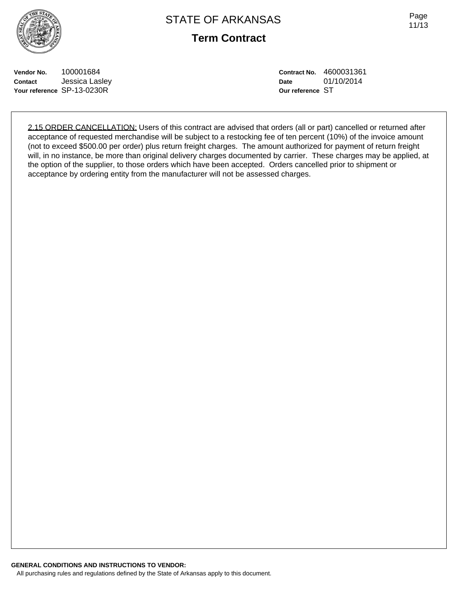

Page 11/13

**Vendor No.** 100001684 **Contact** Jessica Lasley **Your reference** SP-13-0230R

**Contract No.** 4600031361 **Date** 01/10/2014 **Our reference** ST

2.15 ORDER CANCELLATION: Users of this contract are advised that orders (all or part) cancelled or returned after acceptance of requested merchandise will be subject to a restocking fee of ten percent (10%) of the invoice amount (not to exceed \$500.00 per order) plus return freight charges. The amount authorized for payment of return freight will, in no instance, be more than original delivery charges documented by carrier. These charges may be applied, at the option of the supplier, to those orders which have been accepted. Orders cancelled prior to shipment or acceptance by ordering entity from the manufacturer will not be assessed charges.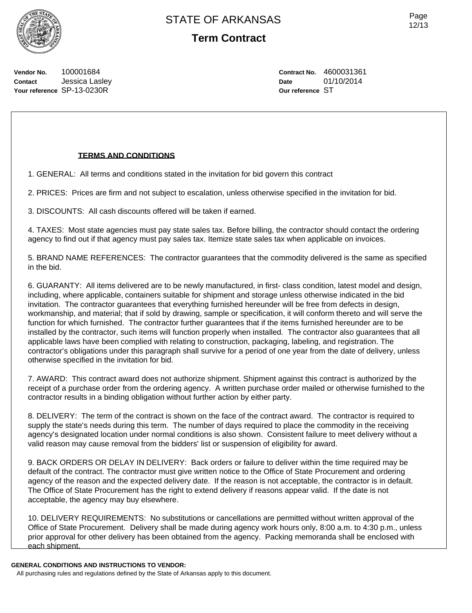

**Vendor No.** 100001684 **Contact** Jessica Lasley **Your reference** SP-13-0230R

**Contract No.** 4600031361 **Date** 01/10/2014 **Our reference** ST

### **TERMS AND CONDITIONS**

1. GENERAL: All terms and conditions stated in the invitation for bid govern this contract

2. PRICES: Prices are firm and not subject to escalation, unless otherwise specified in the invitation for bid.

3. DISCOUNTS: All cash discounts offered will be taken if earned.

4. TAXES: Most state agencies must pay state sales tax. Before billing, the contractor should contact the ordering agency to find out if that agency must pay sales tax. Itemize state sales tax when applicable on invoices.

5. BRAND NAME REFERENCES: The contractor guarantees that the commodity delivered is the same as specified in the bid.

6. GUARANTY: All items delivered are to be newly manufactured, in first- class condition, latest model and design, including, where applicable, containers suitable for shipment and storage unless otherwise indicated in the bid invitation. The contractor guarantees that everything furnished hereunder will be free from defects in design, workmanship, and material; that if sold by drawing, sample or specification, it will conform thereto and will serve the function for which furnished. The contractor further guarantees that if the items furnished hereunder are to be installed by the contractor, such items will function properly when installed. The contractor also guarantees that all applicable laws have been complied with relating to construction, packaging, labeling, and registration. The contractor's obligations under this paragraph shall survive for a period of one year from the date of delivery, unless otherwise specified in the invitation for bid.

7. AWARD: This contract award does not authorize shipment. Shipment against this contract is authorized by the receipt of a purchase order from the ordering agency. A written purchase order mailed or otherwise furnished to the contractor results in a binding obligation without further action by either party.

8. DELIVERY: The term of the contract is shown on the face of the contract award. The contractor is required to supply the state's needs during this term. The number of days required to place the commodity in the receiving agency's designated location under normal conditions is also shown. Consistent failure to meet delivery without a valid reason may cause removal from the bidders' list or suspension of eligibility for award.

9. BACK ORDERS OR DELAY IN DELIVERY: Back orders or failure to deliver within the time required may be default of the contract. The contractor must give written notice to the Office of State Procurement and ordering agency of the reason and the expected delivery date. If the reason is not acceptable, the contractor is in default. The Office of State Procurement has the right to extend delivery if reasons appear valid. If the date is not acceptable, the agency may buy elsewhere.

10. DELIVERY REQUIREMENTS: No substitutions or cancellations are permitted without written approval of the Office of State Procurement. Delivery shall be made during agency work hours only, 8:00 a.m. to 4:30 p.m., unless prior approval for other delivery has been obtained from the agency. Packing memoranda shall be enclosed with each shipment.

#### **GENERAL CONDITIONS AND INSTRUCTIONS TO VENDOR:**